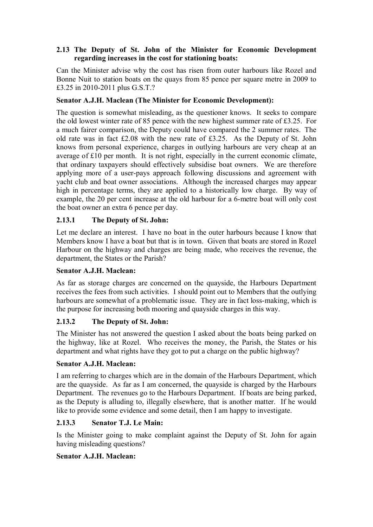### **2.13 The Deputy of St. John of the Minister for Economic Development regarding increases in the cost for stationing boats:**

Can the Minister advise why the cost has risen from outer harbours like Rozel and Bonne Nuit to station boats on the quays from 85 pence per square metre in 2009 to £3.25 in 2010-2011 plus G.S.T.?

## **Senator A.J.H. Maclean (The Minister for Economic Development):**

The question is somewhat misleading, as the questioner knows. It seeks to compare the old lowest winter rate of 85 pence with the new highest summer rate of £3.25. For a much fairer comparison, the Deputy could have compared the 2 summer rates. The old rate was in fact £2.08 with the new rate of £3.25. As the Deputy of St. John knows from personal experience, charges in outlying harbours are very cheap at an average of £10 per month. It is not right, especially in the current economic climate, that ordinary taxpayers should effectively subsidise boat owners. We are therefore applying more of a user-pays approach following discussions and agreement with yacht club and boat owner associations. Although the increased charges may appear high in percentage terms, they are applied to a historically low charge. By way of example, the 20 per cent increase at the old harbour for a 6-metre boat will only cost the boat owner an extra 6 pence per day.

## **2.13.1 The Deputy of St. John:**

Let me declare an interest. I have no boat in the outer harbours because I know that Members know I have a boat but that is in town. Given that boats are stored in Rozel Harbour on the highway and charges are being made, who receives the revenue, the department, the States or the Parish?

### **Senator A.J.H. Maclean:**

As far as storage charges are concerned on the quayside, the Harbours Department receives the fees from such activities. I should point out to Members that the outlying harbours are somewhat of a problematic issue. They are in fact loss-making, which is the purpose for increasing both mooring and quayside charges in this way.

### **2.13.2 The Deputy of St. John:**

The Minister has not answered the question I asked about the boats being parked on the highway, like at Rozel. Who receives the money, the Parish, the States or his department and what rights have they got to put a charge on the public highway?

### **Senator A.J.H. Maclean:**

I am referring to charges which are in the domain of the Harbours Department, which are the quayside. As far as I am concerned, the quayside is charged by the Harbours Department. The revenues go to the Harbours Department. If boats are being parked, as the Deputy is alluding to, illegally elsewhere, that is another matter. If he would like to provide some evidence and some detail, then I am happy to investigate.

### **2.13.3 Senator T.J. Le Main:**

Is the Minister going to make complaint against the Deputy of St. John for again having misleading questions?

### **Senator A.J.H. Maclean:**